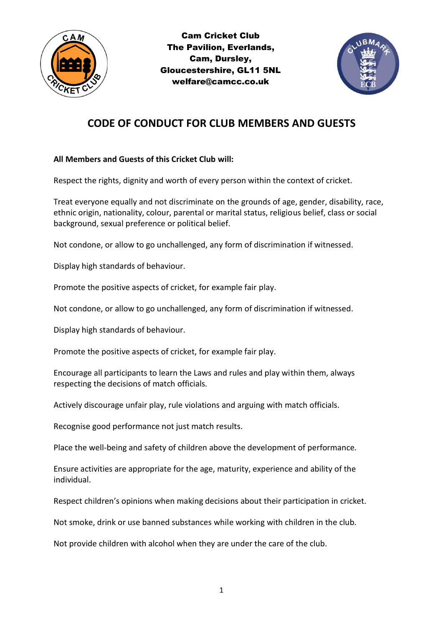



# **CODE OF CONDUCT FOR CLUB MEMBERS AND GUESTS**

## **All Members and Guests of this Cricket Club will:**

Respect the rights, dignity and worth of every person within the context of cricket.

Treat everyone equally and not discriminate on the grounds of age, gender, disability, race, ethnic origin, nationality, colour, parental or marital status, religious belief, class or social background, sexual preference or political belief.

Not condone, or allow to go unchallenged, any form of discrimination if witnessed.

Display high standards of behaviour.

Promote the positive aspects of cricket, for example fair play.

Not condone, or allow to go unchallenged, any form of discrimination if witnessed.

Display high standards of behaviour.

Promote the positive aspects of cricket, for example fair play.

Encourage all participants to learn the Laws and rules and play within them, always respecting the decisions of match officials.

Actively discourage unfair play, rule violations and arguing with match officials.

Recognise good performance not just match results.

Place the well-being and safety of children above the development of performance.

Ensure activities are appropriate for the age, maturity, experience and ability of the individual.

Respect children's opinions when making decisions about their participation in cricket.

Not smoke, drink or use banned substances while working with children in the club.

Not provide children with alcohol when they are under the care of the club.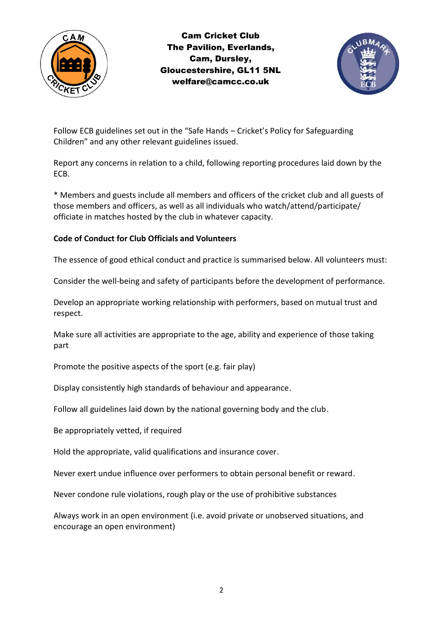

Cam Cricket Club The Pavilion, Everlands, Cam, Dursley, Gloucestershire, GL11 5NL welfare@camcc.co.uk



Follow ECB guidelines set out in the "Safe Hands – Cricket's Policy for Safeguarding Children" and any other relevant guidelines issued.

Report any concerns in relation to a child, following reporting procedures laid down by the ECB.

\* Members and guests include all members and officers of the cricket club and all guests of those members and officers, as well as all individuals who watch/attend/participate/ officiate in matches hosted by the club in whatever capacity.

#### **Code of Conduct for Club Officials and Volunteers**

The essence of good ethical conduct and practice is summarised below. All volunteers must:

Consider the well-being and safety of participants before the development of performance.

Develop an appropriate working relationship with performers, based on mutual trust and respect.

Make sure all activities are appropriate to the age, ability and experience of those taking part

Promote the positive aspects of the sport (e.g. fair play)

Display consistently high standards of behaviour and appearance.

Follow all guidelines laid down by the national governing body and the club.

Be appropriately vetted, if required

Hold the appropriate, valid qualifications and insurance cover.

Never exert undue influence over performers to obtain personal benefit or reward.

Never condone rule violations, rough play or the use of prohibitive substances

Always work in an open environment (i.e. avoid private or unobserved situations, and encourage an open environment)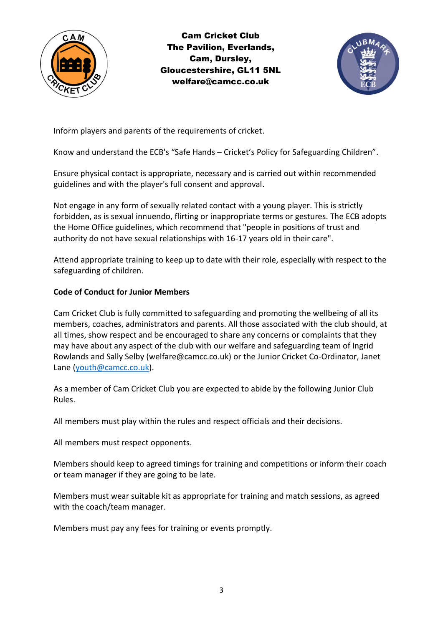

Cam Cricket Club The Pavilion, Everlands, Cam, Dursley, Gloucestershire, GL11 5NL welfare@camcc.co.uk



Inform players and parents of the requirements of cricket.

Know and understand the ECB's "Safe Hands – Cricket's Policy for Safeguarding Children".

Ensure physical contact is appropriate, necessary and is carried out within recommended guidelines and with the player's full consent and approval.

Not engage in any form of sexually related contact with a young player. This is strictly forbidden, as is sexual innuendo, flirting or inappropriate terms or gestures. The ECB adopts the Home Office guidelines, which recommend that "people in positions of trust and authority do not have sexual relationships with 16-17 years old in their care".

Attend appropriate training to keep up to date with their role, especially with respect to the safeguarding of children.

#### **Code of Conduct for Junior Members**

Cam Cricket Club is fully committed to safeguarding and promoting the wellbeing of all its members, coaches, administrators and parents. All those associated with the club should, at all times, show respect and be encouraged to share any concerns or complaints that they may have about any aspect of the club with our welfare and safeguarding team of Ingrid Rowlands and Sally Selby (welfare@camcc.co.uk) or the Junior Cricket Co-Ordinator, Janet Lane [\(youth@camcc.co.uk\)](mailto:youth@camcc.co.uk).

As a member of Cam Cricket Club you are expected to abide by the following Junior Club Rules.

All members must play within the rules and respect officials and their decisions.

All members must respect opponents.

Members should keep to agreed timings for training and competitions or inform their coach or team manager if they are going to be late.

Members must wear suitable kit as appropriate for training and match sessions, as agreed with the coach/team manager.

Members must pay any fees for training or events promptly.